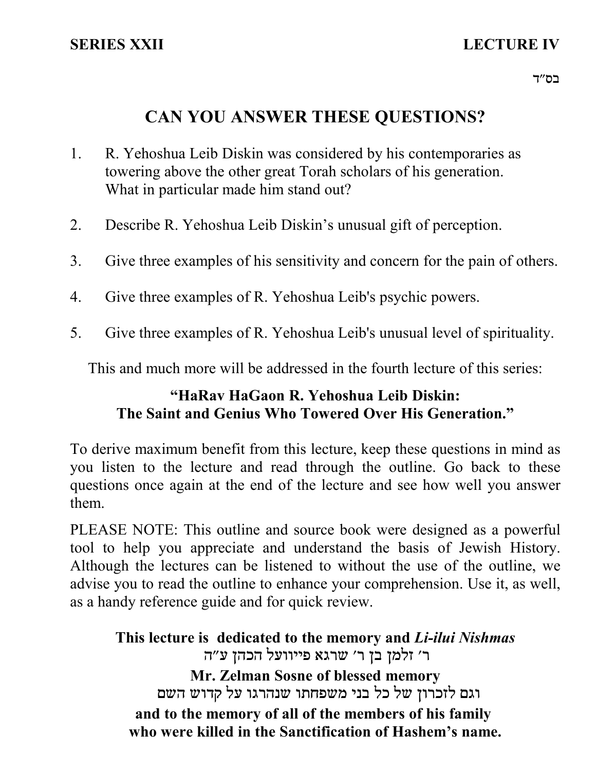# **SERIES XXII LECTURE IV**

# **CAN YOU ANSWER THESE QUESTIONS?**

- R. Yehoshua Leib Diskin was considered by his contemporaries as towering above the other great Torah scholars of his generation. What in particular made him stand out? 1.
- 2. Describe R. Yehoshua Leib Diskin's unusual gift of perception.
- 3. Give three examples of his sensitivity and concern for the pain of others.
- 4. Give three examples of R. Yehoshua Leib's psychic powers.
- 5. Give three examples of R. Yehoshua Leib's unusual level of spirituality.

This and much more will be addressed in the fourth lecture of this series:

# **"HaRav HaGaon R. Yehoshua Leib Diskin: The Saint and Genius Who Towered Over His Generation."**

To derive maximum benefit from this lecture, keep these questions in mind as you listen to the lecture and read through the outline. Go back to these questions once again at the end of the lecture and see how well you answer them.

PLEASE NOTE: This outline and source book were designed as a powerful tool to help you appreciate and understand the basis of Jewish History. Although the lectures can be listened to without the use of the outline, we advise you to read the outline to enhance your comprehension. Use it, as well, as a handy reference guide and for quick review.

**This lecture is dedicated to the memory and** *Li-ilui Nishmas* ר' זלמן בן ר' שרגא פייוועל הכהן ע"ה **Mr. Zelman Sosne of blessed memory** וגם לזכרון של כל בני משפחתו שנהרגו על קדוש השם **and to the memory of all of the members of his family who were killed in the Sanctification of Hashem's name.**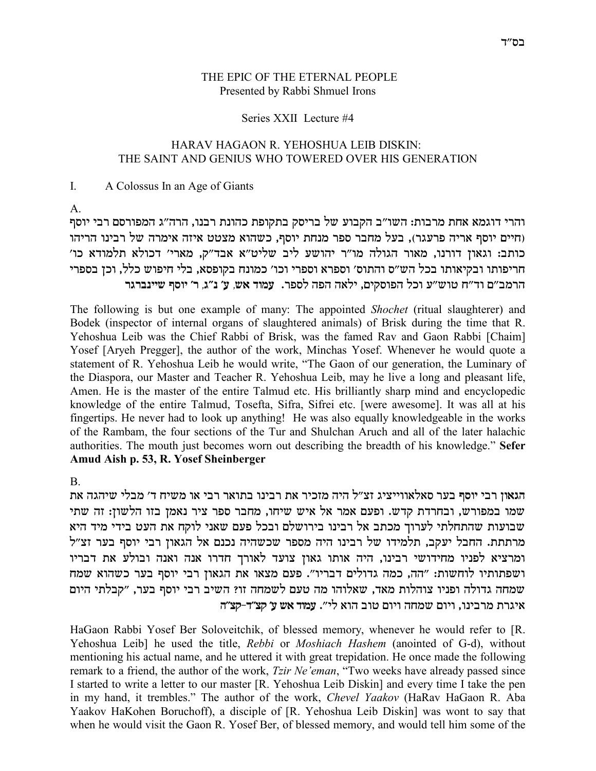## THE EPIC OF THE ETERNAL PEOPLE Presented by Rabbi Shmuel Irons

### Series XXII Lecture #4

## HARAV HAGAON R. YEHOSHUA LEIB DISKIN: THE SAINT AND GENIUS WHO TOWERED OVER HIS GENERATION

#### $\mathbf{I}$ A Colossus In an Age of Giants

 $\mathsf{A}$ 

והרי דוגמא אחת מרבות: השו"ב הקבוע של בריסק בתקופת כהונת רבנו, הרה"ג המפורסם רבי יוסף (חיים יוסף אריה פרעגר), בעל מחבר ספר מנחת יוסף, כשהוא מצטט איזה אימרה של רבינו הריהו כותב: וגאון דורנו, מאור הגולה מו"ר יהושע ליב שליט"א אבד"ק, מארי' דכולא תלמודא כו' חריפותו ובקיאותו בכל הש״ס והתוס׳ וספרא וספרי וכו׳ כמונח בקופסא, בלי חיפוש כלל, וכן בספרי הרמב״ם וד״ח טוש״ע וכל הפוסקים, ילאה הפה לספר. עמוד אש, ע׳ נ״ג, ר׳ יוסף שיינברגר

The following is but one example of many: The appointed *Shochet* (ritual slaughterer) and Bodek (inspector of internal organs of slaughtered animals) of Brisk during the time that R. Yehoshua Leib was the Chief Rabbi of Brisk, was the famed Rav and Gaon Rabbi [Chaim] Yosef [Aryeh Pregger], the author of the work, Minchas Yosef. Whenever he would quote a statement of R. Yehoshua Leib he would write, "The Gaon of our generation, the Luminary of the Diaspora, our Master and Teacher R. Yehoshua Leib, may he live a long and pleasant life, Amen. He is the master of the entire Talmud etc. His brilliantly sharp mind and encyclopedic knowledge of the entire Talmud, Tosefta, Sifra, Sifrei etc. [were awesome]. It was all at his fingertips. He never had to look up anything! He was also equally knowledgeable in the works of the Rambam, the four sections of the Tur and Shulchan Aruch and all of the later halachic authorities. The mouth just becomes worn out describing the breadth of his knowledge." Sefer Amud Aish p. 53, R. Yosef Sheinberger

 $\mathbf{B}$ 

הגאון רבי יוסף בער סאלאווייציג זצ״ל היה מזכיר את רבינו בתואר רבי או משיח ד׳ מבלי שיהגה את שמו במפורש, ובחרדת קדש. ופעם אמר אל איש שיחו, מחבר ספר ציר נאמן בזו הלשון: זה שתי שבועות שהתחלתי לערוך מכתב אל רבינו בירושלם ובכל פעם שאני לוקח את העט בידי מיד היא מרתתת. החבל יעקב, תלמידו של רבינו היה מספר שכשהיה נכנם אל הגאון רבי יוסף בער זצ"ל ומרציא לפניו מחידושי רבינו, היה אותו גאון צועד לאורך חדרו אנה ואנה ובולע את דבריו ושפתותיו לוחשות: "הה, כמה גדולים דבריו". פעם מצאו את הגאון רבי יוסף בער כשהוא שמח שמחה גדולה ופניו צוהלות מאד, שאלוהו מה טעם לשמחה זו? השיב רבי יוסף בער, "קבלתי היום איגרת מרבינו, ויום שמחה ויום טוב הוא לי". עמוד אש ע' קצ"ד-קצ"ה

HaGaon Rabbi Yosef Ber Soloveitchik, of blessed memory, whenever he would refer to [R. Yehoshua Leib] he used the title, Rebbi or Moshiach Hashem (anointed of G-d), without mentioning his actual name, and he uttered it with great trepidation. He once made the following remark to a friend, the author of the work, *Tzir Ne'eman*, "Two weeks have already passed since I started to write a letter to our master [R. Yehoshua Leib Diskin] and every time I take the pen in my hand, it trembles." The author of the work, Chevel Yaakov (HaRav HaGaon R. Aba Yaakov HaKohen Boruchoff), a disciple of [R. Yehoshua Leib Diskin] was wont to say that when he would visit the Gaon R. Yosef Ber, of blessed memory, and would tell him some of the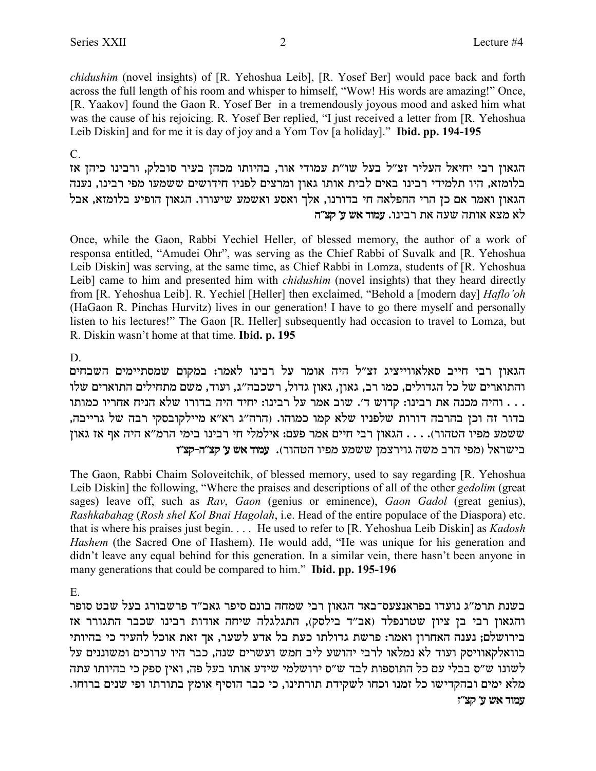*chidushim* (novel insights) of [R. Yehoshua Leib], [R. Yosef Ber] would pace back and forth across the full length of his room and whisper to himself, "Wow! His words are amazing!" Once, [R. Yaakov] found the Gaon R. Yosef Ber in a tremendously joyous mood and asked him what was the cause of his rejoicing. R. Yosef Ber replied, "I just received a letter from [R. Yehoshua Leib Diskin] and for me it is day of joy and a Yom Tov [a holiday]." **Ibid. pp. 194-195**

C.

הגאון רבי יחיאל העליר זצ"ל בעל שו"ת עמודי אור, בהיותו מכהן בעיר סובלק, ורבינו כיהן אז בלומזא, היו תלמידי רבינו באים לבית אותו גאון ומרצים לפניו חידושים ששמעו מפי רבינו, נענה הגאון ואמר אם כן הרי ההפלאה חי בדורנו, אלך ואסע ואשמע שיעורו. הגאון הופיע בלומזא, אבל **d"vw 'r y` cenr** .epiax z` dry dze` `vn `l

Once, while the Gaon, Rabbi Yechiel Heller, of blessed memory, the author of a work of responsa entitled, "Amudei Ohr", was serving as the Chief Rabbi of Suvalk and [R. Yehoshua Leib Diskin] was serving, at the same time, as Chief Rabbi in Lomza, students of [R. Yehoshua Leib] came to him and presented him with *chidushim* (novel insights) that they heard directly from [R. Yehoshua Leib]. R. Yechiel [Heller] then exclaimed, "Behold a [modern day] *Haflo'oh* (HaGaon R. Pinchas Hurvitz) lives in our generation! I have to go there myself and personally listen to his lectures!" The Gaon [R. Heller] subsequently had occasion to travel to Lomza, but R. Diskin wasn't home at that time. **Ibid. p. 195**

## D.

הגאון רבי חייב סאלאווייציג זצ"ל היה אומר על רבינו לאמר: במקום שמסתיימים השבחים והתוארים של כל הגדולים, כמו רב, גאון, גאון גדול, רשכבה"ג, ועוד, משם מתחילים התוארים שלו י הלה הניח המכנה הת רבינו: קדוש ד׳. שוב אמר על רבינו: יחיד היה בדורו שלא הניח אחריו כמותו . . . . . . . . . . . בדור זה וכן בהרבה דורות שלפניו שלא קמו כמוהו. (הרה"ג רא"א מיילקובסקי רבה של גרייבה, טשמע מפיו הטהור). . . . הגאון רבי חיים אמר פעם: אילמלי חי רבינו בימי הרמ"א היה אף אז גאון **e"vw-d"vw 'r y` cenr** .(xedhd eitn rnyy onvxieb dyn axd itn) l`xyia

The Gaon, Rabbi Chaim Soloveitchik, of blessed memory, used to say regarding [R. Yehoshua Leib Diskin] the following, "Where the praises and descriptions of all of the other *gedolim* (great sages) leave off, such as *Rav*, *Gaon* (genius or eminence), *Gaon Gadol* (great genius), *Rashkabahag* (*Rosh shel Kol Bnai Hagolah*, i.e. Head of the entire populace of the Diaspora) etc. that is where his praises just begin. . . . He used to refer to [R. Yehoshua Leib Diskin] as *Kadosh Hashem* (the Sacred One of Hashem). He would add, "He was unique for his generation and didn't leave any equal behind for this generation. In a similar vein, there hasn't been anyone in many generations that could be compared to him." **Ibid. pp. 195-196**

E.

בשנת תרמ״ג נועדו בפראנצעס־באד הגאון רבי שמחה בונם סיפר גאב״ד פרשבורג בעל שבט סופר והגאון רבי בן ציון שטרנפלד (אב"ד בילסק), התגלגלה שיחה אודות רבינו שכבר התגורר אז בירושלם; נענה האחרון ואמר: פרשת גדולתו כעת בל אדע לשער, אך זאת אוכל להעיד כי בהיותי בוואלקאוויסק ועוד לא נמלאו לרבי יהושע ליב חמש ועשרים שנה, כבר היו ערוכים ומשוננים על לשונו ש״ס בבלי עם כל התוספות לבד ש״ס ירושלמי שידע אותו בעל פה, ואין ספק כי בהיותו עתה .<br>מלא ימים ובהקדישו כל זמנו וכחו לשקידת תורתינו, כי כבר הוסיף אומץ בתורתו ופי שנים ברוחו *x* **עמוד אש ע' קצ"ז**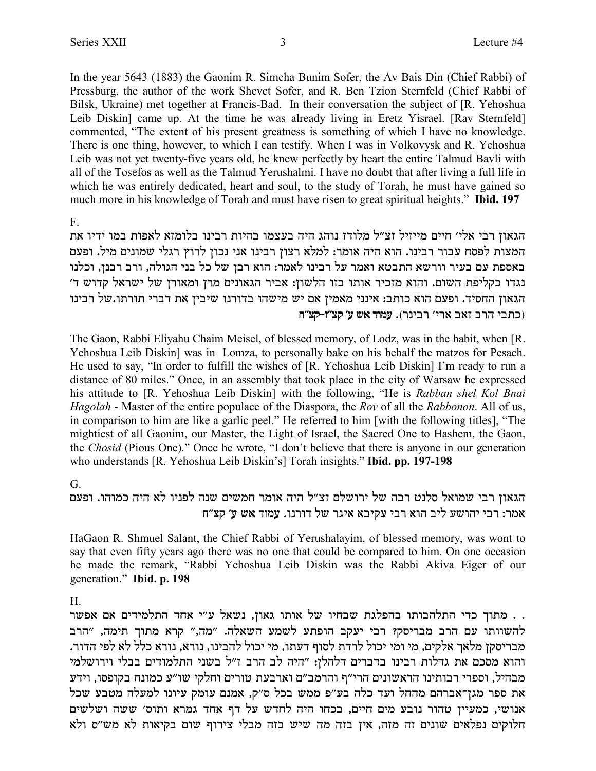In the year 5643 (1883) the Gaonim R. Simcha Bunim Sofer, the Av Bais Din (Chief Rabbi) of Pressburg, the author of the work Shevet Sofer, and R. Ben Tzion Sternfeld (Chief Rabbi of Bilsk, Ukraine) met together at Francis-Bad. In their conversation the subject of [R. Yehoshua] Leib Diskin] came up. At the time he was already living in Eretz Yisrael. [Rav Sternfeld] commented, "The extent of his present greatness is something of which I have no knowledge. There is one thing, however, to which I can testify. When I was in Volkovysk and R. Yehoshua Leib was not yet twenty-five years old, he knew perfectly by heart the entire Talmud Bavli with all of the Tosefos as well as the Talmud Yerushalmi. I have no doubt that after living a full life in which he was entirely dedicated, heart and soul, to the study of Torah, he must have gained so much more in his knowledge of Torah and must have risen to great spiritual heights." Ibid. 197

 $F_{-}$ 

הגאון רבי אלי׳ חיים מייזיל זצ״ל מלודז נוהג היה בעצמו בהיות רבינו בלומזא לאפות במו ידיו את המצות לפסח עבור רבינו. הוא היה אומר: למלא רצון רבינו אני נכון לרוץ רגלי שמונים מיל. ופעם באספת עם בעיר וורשא התבטא ואמר על רבינו לאמר: הוא רבן של כל בני הגולה, ורב רבנן, וכלנו נגדו כקליפת השום. והוא מזכיר אותו בזו הלשון: אביר הגאונים מרן ומאורן של ישראל קדוש ד׳ הגאון החסיד. ופעם הוא כותב: אינני מאמין אם יש מישהו בדורנו שיבין את דברי תורתו.של רבינו וכתבי הרב זאב ארי' רבינר). עמוד אש ע' קצ"ז-קצ"ח

The Gaon, Rabbi Eliyahu Chaim Meisel, of blessed memory, of Lodz, was in the habit, when [R. Yehoshua Leib Diskin] was in Lomza, to personally bake on his behalf the matzos for Pesach. He used to say, "In order to fulfill the wishes of [R. Yehoshua Leib Diskin] I'm ready to run a distance of 80 miles." Once, in an assembly that took place in the city of Warsaw he expressed his attitude to [R. Yehoshua Leib Diskin] with the following, "He is Rabban shel Kol Bnai *Hagolah* - Master of the entire populace of the Diaspora, the *Rov* of all the *Rabbonon*. All of us, in comparison to him are like a garlic peel." He referred to him [with the following titles], "The mightiest of all Gaonim, our Master, the Light of Israel, the Sacred One to Hashem, the Gaon, the Chosid (Pious One)." Once he wrote, "I don't believe that there is anyone in our generation who understands [R. Yehoshua Leib Diskin's] Torah insights." **Ibid. pp. 197-198** 

## G

## הגאון רבי שמואל סלנט רבה של ירושלם זצ"ל היה אומר חמשים שנה לפניו לא היה כמוהו. ופעם אמר: רבי יהושע ליב הוא רבי עקיבא איגר של דורנו. עמוד אש ע׳ קצ״ח

HaGaon R. Shmuel Salant, the Chief Rabbi of Yerushalayim, of blessed memory, was wont to say that even fifty years ago there was no one that could be compared to him. On one occasion he made the remark, "Rabbi Yehoshua Leib Diskin was the Rabbi Akiva Eiger of our generation." Ibid. p. 198

## $H$

. . מתוך כדי התלהבותו בהפלגת שבחיו של אותו גאון, נשאל ע"י אחד התלמידים אם אפשר להשוותו עם הרב מבריסק? רבי יעקב הופתע לשמע השאלה. "מה," קרא מתוך תימה, "הרב מבריסקן מלאך אלקים, מי ומי יכול לרדת לסוף דעתו, מי יכול להבינו, נורא, נורא כלל לא לפי הדור. והוא מסכם את גדלות רבינו בדברים דלהלן: "היה לב הרב ז"ל בשני התלמודים בבלי וירושלמי מבהיל, וספרי רבותינו הראשונים הרי"ף והרמב"ם וארבעת טורים וחלקי שו"ע כמונח בקופסו, וידע את ספר מגן־אברהם מהחל ועד כלה בע"פ ממש בכל ס"ק, אמנם עומק עיונו למעלה מטבע שכל אנושי, כמעיין טהור נובע מים חיים, בכחו היה לחדש על דף אחד גמרא ותוס׳ ששה ושלשים חלוקים נפלאים שונים זה מזה, אין בזה מה שיש בזה מבלי צירוף שום בקיאות לא מש"ס ולא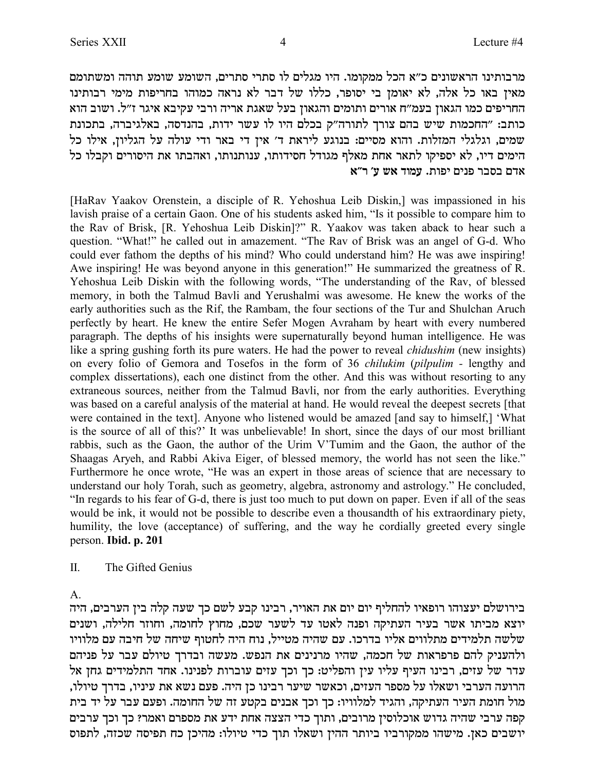מרבותינו הראשונים כ"א הכל ממקומו. היו מגלים לו סתרי סתרים, השומע שומע תוהה ומשתומם מאין באו כל אלה, לא יאומן בי יסופר, כללו של דבר לא נראה כמוהו בחריפות מימי רבותינו החריפים כמו הגאון בעמ"ח אורים ותומים והגאון בעל שאגת אריה ורבי עקיבא איגר ז"ל. ושוב הוא כותב: "החכמות שיש בהם צורך לתורה"ק בכלם היו לו עשר ידות, בהנדסה, באלגיברה, בתכונת שמים, וגלגלי המזלות. והוא מסיים: בנוגע ליראת ד׳ אין די באר ודי עולה על הגליון, אילו כל הימים דיו, לא יספיקו לתאר אחת מאלף מגודל חסידותו, ענותנותו, ואהבתו את היסורים וקבלו כל **`"x 'r y` cenr** .zeti mipt xaqa mc`

[HaRav Yaakov Orenstein, a disciple of R. Yehoshua Leib Diskin,] was impassioned in his lavish praise of a certain Gaon. One of his students asked him, "Is it possible to compare him to the Rav of Brisk, [R. Yehoshua Leib Diskin]?" R. Yaakov was taken aback to hear such a question. "What!" he called out in amazement. "The Rav of Brisk was an angel of G-d. Who could ever fathom the depths of his mind? Who could understand him? He was awe inspiring! Awe inspiring! He was beyond anyone in this generation!" He summarized the greatness of R. Yehoshua Leib Diskin with the following words, "The understanding of the Rav, of blessed memory, in both the Talmud Bavli and Yerushalmi was awesome. He knew the works of the early authorities such as the Rif, the Rambam, the four sections of the Tur and Shulchan Aruch perfectly by heart. He knew the entire Sefer Mogen Avraham by heart with every numbered paragraph. The depths of his insights were supernaturally beyond human intelligence. He was like a spring gushing forth its pure waters. He had the power to reveal *chidushim* (new insights) on every folio of Gemora and Tosefos in the form of 36 *chilukim* (*pilpulim -* lengthy and complex dissertations), each one distinct from the other. And this was without resorting to any extraneous sources, neither from the Talmud Bavli, nor from the early authorities. Everything was based on a careful analysis of the material at hand. He would reveal the deepest secrets [that were contained in the text]. Anyone who listened would be amazed [and say to himself,] 'What is the source of all of this?' It was unbelievable! In short, since the days of our most brilliant rabbis, such as the Gaon, the author of the Urim V'Tumim and the Gaon, the author of the Shaagas Aryeh, and Rabbi Akiva Eiger, of blessed memory, the world has not seen the like." Furthermore he once wrote, "He was an expert in those areas of science that are necessary to understand our holy Torah, such as geometry, algebra, astronomy and astrology." He concluded, "In regards to his fear of G-d, there is just too much to put down on paper. Even if all of the seas would be ink, it would not be possible to describe even a thousandth of his extraordinary piety, humility, the love (acceptance) of suffering, and the way he cordially greeted every single person. **Ibid. p. 201**

II. The Gifted Genius

A.

בירושלם יעצוהו רופאיו להחליף יום יום את האויר, רבינו קבע לשם כך שעה קלה בין הערבים, היה יוצא מביתו אשר בעיר העתיקה ופנה לאטו עד לשער שכם, מחוץ לחומה, וחוזר חלילה, ושנים שלשה תלמידים מתלווים אליו בדרכו. עם שהיה מטייל, נוח היה לחטוף שיחה של חיבה עם מלוויו ולהעניק להם פרפראות של חכמה, שהיו מרנינים את הנפש. מעשה ובדרך טיולם עבר על פניהם עדר של עזים, רבינו העיף עליו עין והפליט: כך וכך עזים עוברות לפנינו. אחד התלמידים גחן אל , הרועה הערבי ושאלו על מספר העזים, וכאשר שיער רבינו כן היה. פעם נשא את עיניו, בדרך טיולו מול חומת העיר העתיקה, והגיד למלוויו: כך וכך אבנים בקטע זה של החומה. ופעם עבר על יד בית קפה ערבי שהיה גדוש אוכלוסין מרובים, ותוך כדי הצצה אחת ידע את מספרם ואמר? כך וכך ערבים יושבים כאן. מישהו ממקורביו ביותר ההין ושאלו תוך כדי טיולו: מהיכן כח תפיסה שכזה, לתפוס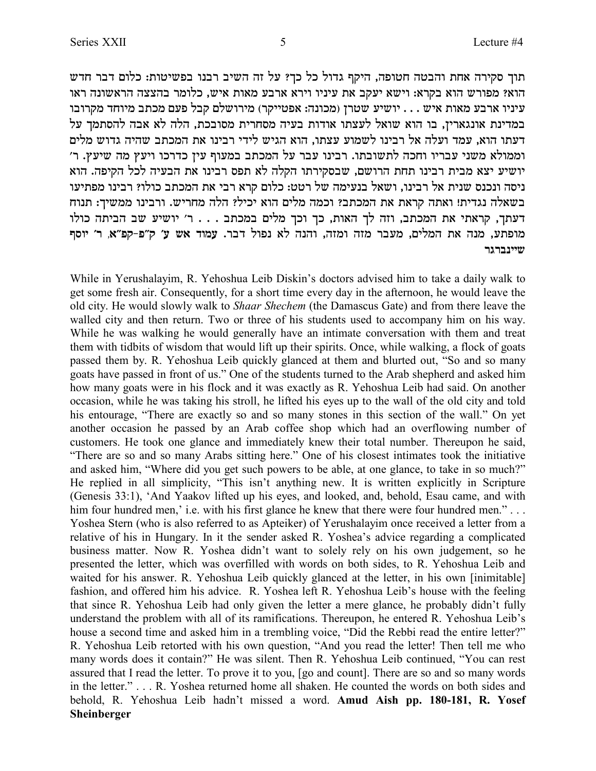תוך סקירה אחת והבטה חטופה, היקף גדול כל כך? על זה השיב רבנו בפשיטות: כלום דבר חדש הוא? מפורש הוא בקרא: וישא יעקב את עיניו וירא ארבע מאות איש, כלומר בהצצה הראשונה ראו עיניו ארבע מאות איש . . . יושיע שטרן (מכונה: אפטייקר) מירושלם קבל פעם מכתב מיוחד מקרובו במדינת אונגארין, בו הוא שואל לעצתו אודות בעיה מסחרית מסובכת, הלה לא אבה להסתמך על דעתו הוא, עמד ועלה אל רבינו לשמוע עצתו, הוא הגיש לידי רבינו את המכתב שהיה גדוש מלים 'וממולא משני עבריו וחכה לתשובתו. רבינו עבר על המכתב במעוף עין כדרכו ויעץ מה שיעץ. ר יושיע יצא מבית רבינו תחת הרושם, שבסקירתו הקלה לא תפס רבינו את הבעיה לכל הקיפה. הוא ניסה ונכנס שנית אל רבינו, ושאל בנעימה של רטט: כלום קרא רבי את המכתב כולו? רבינו מפתיעו בשאלה נגדית! ואתה קראת את המכתב? וכמה מלים הוא יכיל? הלה מחריש. ורבינו ממשיך: תנוח דעתך, קראתי את המכתב, וזה לך האות, כך וכך מלים במכתב . . . ר' יושיע שב הביתה כולו **sqei 'x ,`"tw-t"w 'r y` cenr** .xac letp `l dpde ,dfne dfn xarn ,milnd z` dpn ,rzten **xbxapiiy**

While in Yerushalayim, R. Yehoshua Leib Diskin's doctors advised him to take a daily walk to get some fresh air. Consequently, for a short time every day in the afternoon, he would leave the old city. He would slowly walk to *Shaar Shechem* (the Damascus Gate) and from there leave the walled city and then return. Two or three of his students used to accompany him on his way. While he was walking he would generally have an intimate conversation with them and treat them with tidbits of wisdom that would lift up their spirits. Once, while walking, a flock of goats passed them by. R. Yehoshua Leib quickly glanced at them and blurted out, "So and so many goats have passed in front of us." One of the students turned to the Arab shepherd and asked him how many goats were in his flock and it was exactly as R. Yehoshua Leib had said. On another occasion, while he was taking his stroll, he lifted his eyes up to the wall of the old city and told his entourage, "There are exactly so and so many stones in this section of the wall." On yet another occasion he passed by an Arab coffee shop which had an overflowing number of customers. He took one glance and immediately knew their total number. Thereupon he said, "There are so and so many Arabs sitting here." One of his closest intimates took the initiative and asked him, "Where did you get such powers to be able, at one glance, to take in so much?" He replied in all simplicity, "This isn't anything new. It is written explicitly in Scripture (Genesis 33:1), 'And Yaakov lifted up his eyes, and looked, and, behold, Esau came, and with him four hundred men,' i.e. with his first glance he knew that there were four hundred men." . . . Yoshea Stern (who is also referred to as Apteiker) of Yerushalayim once received a letter from a relative of his in Hungary. In it the sender asked R. Yoshea's advice regarding a complicated business matter. Now R. Yoshea didn't want to solely rely on his own judgement, so he presented the letter, which was overfilled with words on both sides, to R. Yehoshua Leib and waited for his answer. R. Yehoshua Leib quickly glanced at the letter, in his own [inimitable] fashion, and offered him his advice. R. Yoshea left R. Yehoshua Leib's house with the feeling that since R. Yehoshua Leib had only given the letter a mere glance, he probably didn't fully understand the problem with all of its ramifications. Thereupon, he entered R. Yehoshua Leib's house a second time and asked him in a trembling voice, "Did the Rebbi read the entire letter?" R. Yehoshua Leib retorted with his own question, "And you read the letter! Then tell me who many words does it contain?" He was silent. Then R. Yehoshua Leib continued, "You can rest assured that I read the letter. To prove it to you, [go and count]. There are so and so many words in the letter." . . . R. Yoshea returned home all shaken. He counted the words on both sides and behold, R. Yehoshua Leib hadn't missed a word. **Amud Aish pp. 180-181, R. Yosef Sheinberger**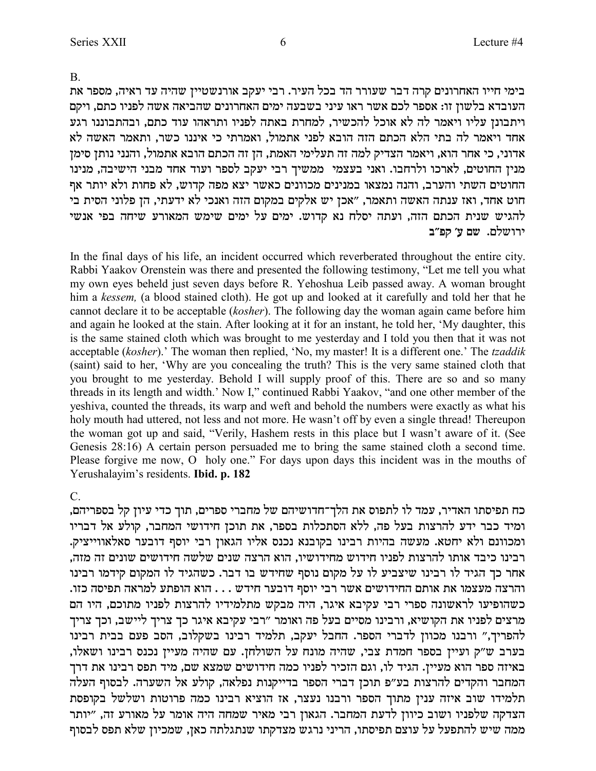B.

בימי חייו האחרונים קרה דבר שעורר הד בכל העיר. רבי יעקב אורנשטיין שהיה עד ראיה, מספר את העובדא בלשון זו: אספר לכם אשר ראו עיני בשבעה ימים האחרונים שהביאה אשה לפניו כתם, ויקם rיתבונן עליו ויאמר לה לא אוכל להכשיר, למחרת באתה לפניו ותראהו עוד כתם, ובהתבוננו רגע אחד ויאמר לה בתי הלא הכתם הזה הובא לפני אתמול, ואמרתי כי איננו כשר, ותאמר האשה לא אדוני, כי אחר הוא, ויאמר הצדיק למה זה תעלימי האמת, הן זה הכתם הובא אתמול, והנני נותן סימן מנין החוטים, לארכו ולרחבו. ואני בעצמי ממשיך רבי יעקב לספר ועוד אחד מבני הישיבה, מנינו החוטים השתי והערב, והנה נמצאו במנינים מכוונים כאשר יצא מפה קדוש, לא פחות ולא יותר אף חוט אחד, ואז ענתה האשה ותאמר, "אכן יש אלקים במקום הזה ואנכי לא ידעתי, הן פלוני הסית בי להגיש שנית הכתם הזה, ועתה יסלח נא קדוש. ימים על ימים שימש המאורע שיחה בפי אנשי ירושלם. שם *ע' קפ"ב* 

In the final days of his life, an incident occurred which reverberated throughout the entire city. Rabbi Yaakov Orenstein was there and presented the following testimony, "Let me tell you what my own eyes beheld just seven days before R. Yehoshua Leib passed away. A woman brought him a *kessem,* (a blood stained cloth). He got up and looked at it carefully and told her that he cannot declare it to be acceptable (*kosher*). The following day the woman again came before him and again he looked at the stain. After looking at it for an instant, he told her, 'My daughter, this is the same stained cloth which was brought to me yesterday and I told you then that it was not acceptable (*kosher*).' The woman then replied, 'No, my master! It is a different one.' The *tzaddik* (saint) said to her, 'Why are you concealing the truth? This is the very same stained cloth that you brought to me yesterday. Behold I will supply proof of this. There are so and so many threads in its length and width.' Now I," continued Rabbi Yaakov, "and one other member of the yeshiva, counted the threads, its warp and weft and behold the numbers were exactly as what his holy mouth had uttered, not less and not more. He wasn't off by even a single thread! Thereupon the woman got up and said, "Verily, Hashem rests in this place but I wasn't aware of it. (See Genesis 28:16) A certain person persuaded me to bring the same stained cloth a second time. Please forgive me now, O holy one." For days upon days this incident was in the mouths of Yerushalayim's residents. **Ibid. p. 182**

## C.

כח תפיסתו האדיר, עמד לו לתפוס את הלך־חדושיהם של מחברי ספרים, תוך כדי עיוז קל בספריהם, ומיד כבר ידע להרצות בעל פה, ללא הסתכלות בספר, את תוכן חידושי המחבר, קולע אל דבריו ומכוונם ולא יחטא. מעשה בהיות רבינו בקובנא נכנס אליו הגאון רבי יוסף דובער סאלאווייציק. , רבינו כיבד אותו להרצות לפניו חידוש מחידושיו, הוא הרצה שנים שלשה חידושים שונים זה מזה אחר כך הגיד לו רבינו שיצביע לו על מקום נוסף שחידש בו דבר. כשהגיד לו המקום קידמו רבינו .<br>והרצה מעצמו את אותם החידושים אשר רבי יוסף דובער חידש . . . הוא הופתע למראה תפיסה כזו כשהופיעו לראשונה ספרי רבי עקיבא איגר, היה מבקש מתלמידיו להרצות לפניו מתוכם, היו הם מרצים לפניו את הקושיא, ורבינו מסיים בעל פה ואומר "רבי עקיבא איגר כך צריך ליישב, וכך צריך להפריך," ורבנו מכוון לדברי הספר. החבל יעקב, תלמיד רבינו בשקלוב, הסב פעם בבית רבינו בערב ש"ק ועיין בספר חמדת צבי, שהיה מונח על השולחן. עם שהיה מעיין נכנס רבינו ושאלו, באיזה ספר הוא מעיין. הגיד לו, וגם הזכיר לפניו כמה חידושים שמצא שם, מיד תפס רבינו את דרך המחבר והקדים להרצות בע"פ תוכן דברי הספר בדייקנות נפלאה, קולע אל השערה. לבסוף העלה תלמידו שוב איזה ענין מתוך הספר ורבנו נעצר, אז הוציא רבינו כמה פרוטות ושלשל בקופסת הצדקה שלפניו ושוב כיוון לדעת המחבר. הגאון רבי מאיר שמחה היה אומר על מאורע זה, "יותר ממה שיש להתפעל על עוצם תפיסתו, הריני נרגש מצדקתו שנתגלתה כאן, שמכיון שלא תפס לבסוף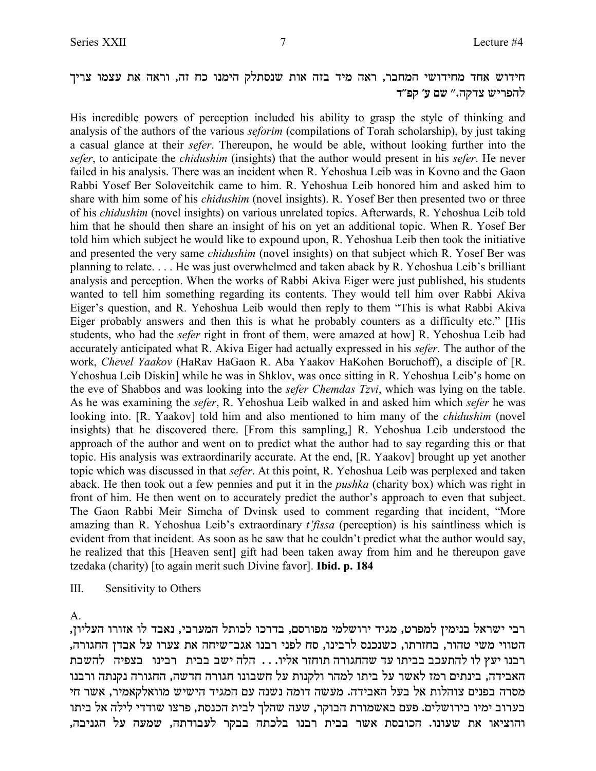## חידוש אחד מחידושי המחבר, ראה מיד בזה אות שנסתלק הימנו כח זה, וראה את עצמו צריך להפריש צדקה.״ שם ע׳ קפ״ד

His incredible powers of perception included his ability to grasp the style of thinking and analysis of the authors of the various *seforim* (compilations of Torah scholarship), by just taking a casual glance at their *sefer*. Thereupon, he would be able, without looking further into the *sefer*, to anticipate the *chidushim* (insights) that the author would present in his *sefer*. He never failed in his analysis. There was an incident when R. Yehoshua Leib was in Kovno and the Gaon Rabbi Yosef Ber Soloveitchik came to him. R. Yehoshua Leib honored him and asked him to share with him some of his *chidushim* (novel insights). R. Yosef Ber then presented two or three of his *chidushim* (novel insights) on various unrelated topics. Afterwards, R. Yehoshua Leib told him that he should then share an insight of his on yet an additional topic. When R. Yosef Ber told him which subject he would like to expound upon, R. Yehoshua Leib then took the initiative and presented the very same *chidushim* (novel insights) on that subject which R. Yosef Ber was planning to relate. . . . He was just overwhelmed and taken aback by R. Yehoshua Leib's brilliant analysis and perception. When the works of Rabbi Akiva Eiger were just published, his students wanted to tell him something regarding its contents. They would tell him over Rabbi Akiva Eiger's question, and R. Yehoshua Leib would then reply to them "This is what Rabbi Akiva Eiger probably answers and then this is what he probably counters as a difficulty etc." [His students, who had the *sefer* right in front of them, were amazed at how] R. Yehoshua Leib had accurately anticipated what R. Akiva Eiger had actually expressed in his *sefer*. The author of the work, *Chevel Yaakov* (HaRav HaGaon R. Aba Yaakov HaKohen Boruchoff), a disciple of [R. Yehoshua Leib Diskin] while he was in Shklov, was once sitting in R. Yehoshua Leib's home on the eve of Shabbos and was looking into the *sefer Chemdas Tzvi*, which was lying on the table. As he was examining the *sefer*, R. Yehoshua Leib walked in and asked him which *sefer* he was looking into. [R. Yaakov] told him and also mentioned to him many of the *chidushim* (novel insights) that he discovered there. [From this sampling,] R. Yehoshua Leib understood the approach of the author and went on to predict what the author had to say regarding this or that topic. His analysis was extraordinarily accurate. At the end, [R. Yaakov] brought up yet another topic which was discussed in that *sefer*. At this point, R. Yehoshua Leib was perplexed and taken aback. He then took out a few pennies and put it in the *pushka* (charity box) which was right in front of him. He then went on to accurately predict the author's approach to even that subject. The Gaon Rabbi Meir Simcha of Dvinsk used to comment regarding that incident, "More amazing than R. Yehoshua Leib's extraordinary *t'fissa* (perception) is his saintliness which is evident from that incident. As soon as he saw that he couldn't predict what the author would say, he realized that this [Heaven sent] gift had been taken away from him and he thereupon gave tzedaka (charity) [to again merit such Divine favor]. **Ibid. p. 184**

III. Sensitivity to Others

A.

, רבי ישראל בנימין למפרט, מגיד ירושלמי מפורסם, בדרכו לכותל המערבי, נאבד לו אזורו העליון ,<br>הטווי משי טהור, בחזרתו, כשנכנס לרבינו, סח לפני רבנו אגב־שיחה את צערו על אבדן החגורה רבנו יעץ לו להתעכב בביתו עד שהחגורה תוחזר אליו. . . הלה ישב בבית רבינו בצפיה להשבת האבידה, בינתים רמז לאשר על ביתו למהר ולקנות על חשבונו חגורה חדשה, החגורה נקנתה ורבנו מסרה בפנים צוהלות אל בעל האבידה. מעשה דומה נשנה עם המגיד הישיש מוואלקאמיר, אשר חי בערוב ימיו בירושלים. פעם באשמורת הבוקר, שעה שהלך לבית הכנסת, פרצו שודדי לילה אל ביתו ,<br>והוציאו את שעונו. הכובסת אשר בבית רבנו בלכתה בבקר לעבודתה, שמעה על הגניבה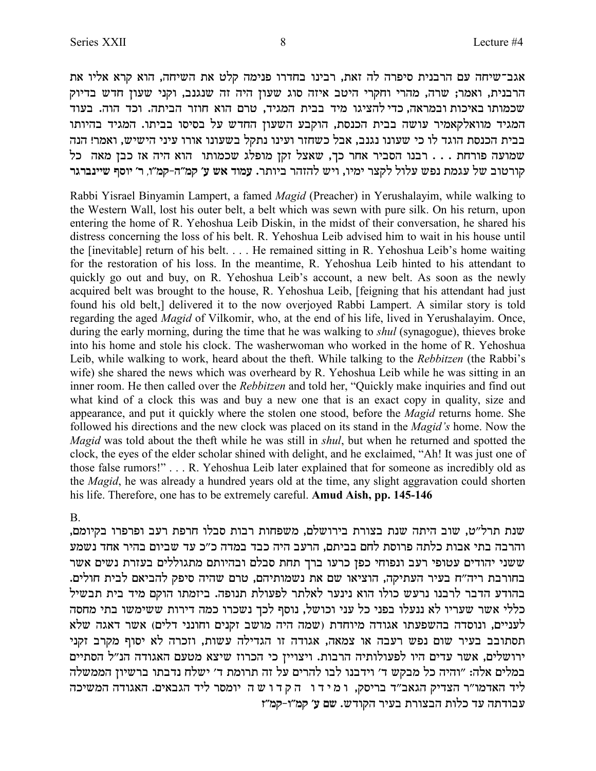אגב־שיחה עם הרבנית סיפרה לה זאת, רבינו בחדרו פנימה קלט את השיחה, הוא קרא אליו את הרבנית, ואמר; שרה, מהרי וחקרי היטב איזה סוג שעון היה זה שנגנב, וקני שעון חדש בדיוק שכמותו באיכות ובמראה, כדי להציגו מיד בבית המגיד, טרם הוא חוזר הביתה. וכד הוה. בעוד המגיד מוואלקאמיר עושה בבית הכנסת, הוקבע השעון החדש על בסיסו בביתו. המגיד בהיותו בבית הכנסת הוגד לו כי שעונו נגנב, אבל כשחזר ועינו נתקל בשעונו אורו עיני הישיש, ואמר! הנה שמועה פורחת . . . רבנו הסביר אחר כך, שאצל זקן מופלג שכמותו הוא היה אז כבן מאה כל **xbxapiiy sqei 'x ,e"nw-d"nw 'r y` cenr** .xzeia xdfdl yie ,eini xvwl lelr ytp znbr ly aehxew

Rabbi Yisrael Binyamin Lampert, a famed *Magid* (Preacher) in Yerushalayim, while walking to the Western Wall, lost his outer belt, a belt which was sewn with pure silk. On his return, upon entering the home of R. Yehoshua Leib Diskin, in the midst of their conversation, he shared his distress concerning the loss of his belt. R. Yehoshua Leib advised him to wait in his house until the [inevitable] return of his belt. . . . He remained sitting in R. Yehoshua Leib's home waiting for the restoration of his loss. In the meantime, R. Yehoshua Leib hinted to his attendant to quickly go out and buy, on R. Yehoshua Leib's account, a new belt. As soon as the newly acquired belt was brought to the house, R. Yehoshua Leib, [feigning that his attendant had just found his old belt,] delivered it to the now overjoyed Rabbi Lampert. A similar story is told regarding the aged *Magid* of Vilkomir, who, at the end of his life, lived in Yerushalayim. Once, during the early morning, during the time that he was walking to *shul* (synagogue), thieves broke into his home and stole his clock. The washerwoman who worked in the home of R. Yehoshua Leib, while walking to work, heard about the theft. While talking to the *Rebbitzen* (the Rabbi's wife) she shared the news which was overheard by R. Yehoshua Leib while he was sitting in an inner room. He then called over the *Rebbitzen* and told her, "Quickly make inquiries and find out what kind of a clock this was and buy a new one that is an exact copy in quality, size and appearance, and put it quickly where the stolen one stood, before the *Magid* returns home. She followed his directions and the new clock was placed on its stand in the *Magid's* home. Now the *Magid* was told about the theft while he was still in *shul*, but when he returned and spotted the clock, the eyes of the elder scholar shined with delight, and he exclaimed, "Ah! It was just one of those false rumors!" . . . R. Yehoshua Leib later explained that for someone as incredibly old as the *Magid*, he was already a hundred years old at the time, any slight aggravation could shorten his life. Therefore, one has to be extremely careful. **Amud Aish, pp. 145-146**

#### B.

שנת תרל"ט, שוב היתה שנת בצורת בירושלם, משפחות רבות סבלו חרפת רעב ופרפרו בקיומם, והרבה בתי אבות כלתה פרוסת לחם בביתם, הרעב היה כבד במדה כ״כ עד שביום בהיר אחד נשמע ששני יהודים עטופי רעב ונפוחי כפן כרעו ברך תחת סבלם ובהיותם מתגוללים בעזרת נשים אשר בחורבת ריה"ח בעיר העתיקה, הוציאו שם את נשמותיהם, טרם שהיה סיפק להביאם לבית חולים. בהודע הדבר לרבנו נרעש כולו הוא נינער לאלתר לפעולת תנופה. ביזמתו הוקם מיד בית תבשיל כללי אשר שעריו לא ננעלו בפני כל עני וכושל, נוסף לכך נשכרו כמה דירות ששימשו בתי מחסה לעניים, ונוסדה בהשפעתו אגודה מיוחדת (שמה היה מושב זקנים וחונני דלים) אשר דאגה שלא תסתובב בעיר שום נפש רעבה או צמאה, אגודה זו הגדילה עשות, וזכרה לא יסוף מקרב זקני ירושלים, אשר עדים היו לפעולותיה הרבות. ויצויין כי הכרוז שיצא מטעם האגודה הנ"ל הסתיים במלים אלה: "והיה כל מבקש ד' וידבנו לבו להרים על זה תרומת ד' ישלח נדבתו ברשיון הממשלה ליד האדמו"ר הצדיק הגאב"ד בריסק, ו מידו הקדו שה יומסר ליד הגבאים. האגודה המשיכה עבודתה עד כלות הבצורת בעיר הקודש. שם ע׳ קמ׳׳ו-קמ׳׳ז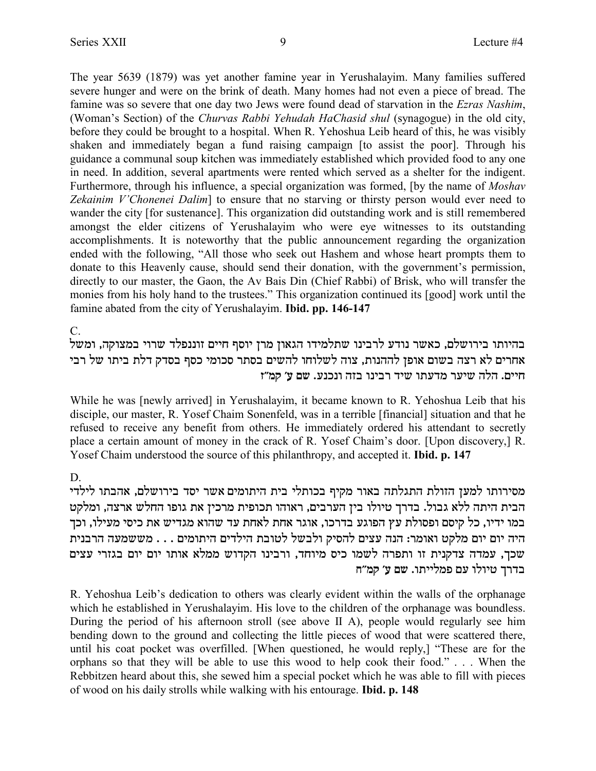The year 5639 (1879) was yet another famine year in Yerushalayim. Many families suffered severe hunger and were on the brink of death. Many homes had not even a piece of bread. The famine was so severe that one day two Jews were found dead of starvation in the Ezras Nashim, (Woman's Section) of the Churvas Rabbi Yehudah HaChasid shul (synagogue) in the old city, before they could be brought to a hospital. When R. Yehoshua Leib heard of this, he was visibly shaken and immediately began a fund raising campaign [to assist the poor]. Through his guidance a communal soup kitchen was immediately established which provided food to any one in need. In addition, several apartments were rented which served as a shelter for the indigent. Furthermore, through his influence, a special organization was formed. [by the name of *Moshav* Zekainim V'Chonenei Dalim] to ensure that no starving or thirsty person would ever need to wander the city [for sustenance]. This organization did outstanding work and is still remembered amongst the elder citizens of Yerushalayim who were eye witnesses to its outstanding accomplishments. It is noteworthy that the public announcement regarding the organization ended with the following, "All those who seek out Hashem and whose heart prompts them to donate to this Heavenly cause, should send their donation, with the government's permission, directly to our master, the Gaon, the Av Bais Din (Chief Rabbi) of Brisk, who will transfer the monies from his holy hand to the trustees." This organization continued its [good] work until the famine abated from the city of Yerushalayim. **Ibid. pp. 146-147** 

 $C_{\cdot}$ 

בהיותו בירושלם, כאשר נודע לרבינו שתלמידו הגאון מרן יוסף חיים זוננפלד שרוי במצוקה, ומשל אחרים לא רצה בשום אופן לההנות, צוה לשלוחו להשים בסתר סכומי כסף בסדק דלת ביתו של רבי חיים. הלה שיער מדעתו שיד רבינו בזה ונכנע. שם ע׳ קמ״ז

While he was [newly arrived] in Yerushalayim, it became known to R. Yehoshua Leib that his disciple, our master, R. Yosef Chaim Sonenfeld, was in a terrible [financial] situation and that he refused to receive any benefit from others. He immediately ordered his attendant to secretly place a certain amount of money in the crack of R. Yosef Chaim's door. [Upon discovery,] R. Yosef Chaim understood the source of this philanthropy, and accepted it. Ibid. p. 147

## D.

מסירותו למען הזולת התגלתה באור מקיף בכותלי בית היתומים אשר יסד בירושלם, אהבתו לילדי הבית היתה ללא גבול. בדרך טיולו בין הערבים, ראוהו תכופית מרכין את גופו החלש ארצה, ומלקט במו ידיו, כל קיסם ופסולת עץ הפוגע בדרכו, אוגר אחת לאחת עד שהוא מגדיש את כיסי מעילו, וכך היה יום יום מלקט ואומר: הנה עצים להסיק ולבשל לטובת הילדים היתומים . . . מששמעה הרבנית שכך, עמדה צדקנית זו ותפרה לשמו כיס מיוחד, ורבינו הקדוש ממלא אותו יום יום בגזרי עצים בדרך טיולו עם פמלייתו. שם ע׳ קמ״ח

R. Yehoshua Leib's dedication to others was clearly evident within the walls of the orphanage which he established in Yerushalayim. His love to the children of the orphanage was boundless. During the period of his afternoon stroll (see above II A), people would regularly see him bending down to the ground and collecting the little pieces of wood that were scattered there, until his coat pocket was overfilled. [When questioned, he would reply,] "These are for the orphans so that they will be able to use this wood to help cook their food."... When the Rebbitzen heard about this, she sewed him a special pocket which he was able to fill with pieces of wood on his daily strolls while walking with his entourage. **Ibid. p. 148**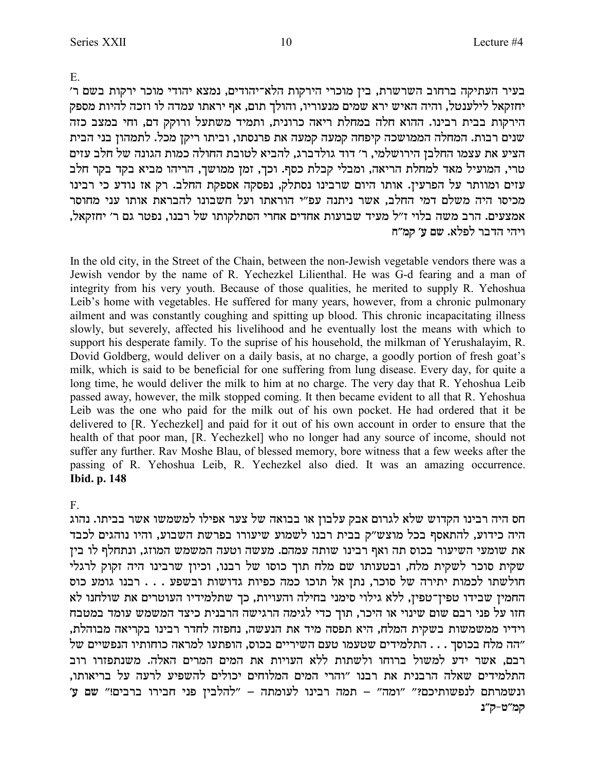E.

בעיר העתיקה ברחוב השרשרת, בין מוכרי הירקות הלא־יהודים, נמצא יהודי מוכר ירקות בשם ר' יחזקאל לילענטל, והיה האיש ירא שמים מנעוריו, והולך תום, אף יראתו עמדה לו וזכה להיות מספק הירקות בבית רבינו. ההוא חלה במחלת ריאה כרונית, ותמיד משתעל ורוקק דם, וחי במצב כזה שנים רבות. המחלה הממושכה קיפחה קמעה קמעה את פרנסתו, וביתו ריקן מכל. לתמהון בני הבית הציע את עצמו החלבן הירושלמי, ר׳ דוד גולדברג, להביא לטובת החולה כמות הגונה של חלב עזים טרי, המועיל מאד למחלת הריאה, ומבלי קבלת כסף. וכך, זמן ממושך, הריהו מביא בקד בקר חלב עזים ומוותר על הפרעין. אותו היום שרבינו נסתלק, נפסקה אספקת החלב. רק אז נודע כי רבינו מכיסו היה משלם דמי החלב, אשר ניתנה עפ״י הוראתו ועל חשבונו להבראת אותו עני מחוסר ,אמצעים. הרב משה בלוי ז"ל מעיד שבועות אחדים אחרי הסתלקותו של רבנו, נפטר גם ר' יחזקאל **ויהי הדבר לפלא. שם ע׳ קמ״ח** 

In the old city, in the Street of the Chain, between the non-Jewish vegetable vendors there was a Jewish vendor by the name of R. Yechezkel Lilienthal. He was G-d fearing and a man of integrity from his very youth. Because of those qualities, he merited to supply R. Yehoshua Leib's home with vegetables. He suffered for many years, however, from a chronic pulmonary ailment and was constantly coughing and spitting up blood. This chronic incapacitating illness slowly, but severely, affected his livelihood and he eventually lost the means with which to support his desperate family. To the suprise of his household, the milkman of Yerushalayim, R. Dovid Goldberg, would deliver on a daily basis, at no charge, a goodly portion of fresh goat's milk, which is said to be beneficial for one suffering from lung disease. Every day, for quite a long time, he would deliver the milk to him at no charge. The very day that R. Yehoshua Leib passed away, however, the milk stopped coming. It then became evident to all that R. Yehoshua Leib was the one who paid for the milk out of his own pocket. He had ordered that it be delivered to [R. Yechezkel] and paid for it out of his own account in order to ensure that the health of that poor man, [R. Yechezkel] who no longer had any source of income, should not suffer any further. Rav Moshe Blau, of blessed memory, bore witness that a few weeks after the passing of R. Yehoshua Leib, R. Yechezkel also died. It was an amazing occurrence. **Ibid. p. 148**

## F.

חס היה רבינו הקדוש שלא לגרום אבק עלבון או בבואה של צער אפילו למשמשו אשר בביתו. נהוג היה כידוע, להתאסף בכל מוצש״ק בבית רבנו לשמוע שיעורו בפרשת השבוע, והיו נוהגים לכבד את שומעי השיעור בכוס תה ואף רבינו שותה עמהם. מעשה וטעה המשמש המוזג, ונתחלף לו בין שקית סוכר לשקית מלח, ובטעותו שם מלח תוך כוסו של רבנו, וכיון שרבינו היה זקוק לרגלי חולשתו לכמות יתירה של סוכר, נתן אל תוכו כמה כפיות גדושות ובשפע . . . רבנו גומע כוס החמין שבידו טפין־טפין, ללא גילוי סימני בחילה והעויות, כך שתלמידיו העוטרים את שולחנו לא חזו על פני רבם שום שינוי או היכר, תוך כדי לגימה הרגישה הרבנית כיצד המשמש עומד במטבח , וידיו ממשמשות בשקית המלח, היא תפסה מיד את הנעשה, נחפזה לחדר רבינו בקריאה מבוהלת הה מלח בכוסך . . . התלמידים שטעמו טעם השיריים בכוס, הופתעו למראה כוחותיו הנפשיים של" רבם, אשר ידע למשול ברוחו ולשתות ללא העויות את המים המרים האלה. משנתפזרו רוב התלמידים שאלה הרבנית את רבנו "והרי המים המלוחים יכולים להשפיע לרעה על בריאותו. ונשמרתם לנפשותיכם?" "ומה" – תמה רבינו לעומתה – "להלבין פני חבירו ברבים!" שם ע" קמ"ט-ק"**נ**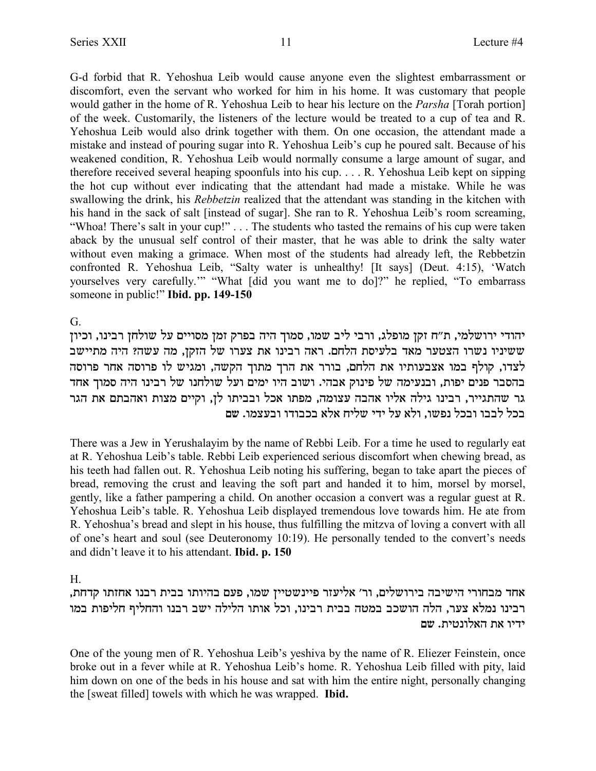G-d forbid that R. Yehoshua Leib would cause anyone even the slightest embarrassment or discomfort, even the servant who worked for him in his home. It was customary that people would gather in the home of R. Yehoshua Leib to hear his lecture on the *Parsha* [Torah portion] of the week. Customarily, the listeners of the lecture would be treated to a cup of tea and R. Yehoshua Leib would also drink together with them. On one occasion, the attendant made a mistake and instead of pouring sugar into R. Yehoshua Leib's cup he poured salt. Because of his weakened condition, R. Yehoshua Leib would normally consume a large amount of sugar, and therefore received several heaping spoonfuls into his cup. . . . R. Yehoshua Leib kept on sipping the hot cup without ever indicating that the attendant had made a mistake. While he was swallowing the drink, his *Rebbetzin* realized that the attendant was standing in the kitchen with his hand in the sack of salt [instead of sugar]. She ran to R. Yehoshua Leib's room screaming, "Whoa! There's salt in your cup!" . . . The students who tasted the remains of his cup were taken aback by the unusual self control of their master, that he was able to drink the salty water without even making a grimace. When most of the students had already left, the Rebbetzin confronted R. Yehoshua Leib, "Salty water is unhealthy! [It says] (Deut. 4:15), 'Watch yourselves very carefully.'" "What [did you want me to do]?" he replied, "To embarrass someone in public!" **Ibid. pp. 149-150**

G.

יהודי ירושלמי, ת"ח זקן מופלג, ורבי ליב שמו, סמוך היה בפרק זמן מסויים על שולחן רבינו, וכיון  $\sim$ ששיניו נשרו הצטער מאד בלעיסת הלחם. ראה רבינו את צערו של הזקן, מה עשה? היה מתיישב לצדו, קולף במו אצבעותיו את הלחם, בורר את הרך מתוך הקשה, ומגיש לו פרוסה אחר פרוסה בהסבר פנים יפות, ובנעימה של פינוק אבהי. ושוב היו ימים ועל שולחנו של רבינו היה סמוך אחד גר שהתגייר, רבינו גילה אליו אהבה עצומה, מפתו אכל ובביתו לן, וקיים מצות ואהבתם את הגר בכל לבבו ובכל נפשו. ולא על ידי שליח אלא בכבודו ובעצמו. שם

There was a Jew in Yerushalayim by the name of Rebbi Leib. For a time he used to regularly eat at R. Yehoshua Leib's table. Rebbi Leib experienced serious discomfort when chewing bread, as his teeth had fallen out. R. Yehoshua Leib noting his suffering, began to take apart the pieces of bread, removing the crust and leaving the soft part and handed it to him, morsel by morsel, gently, like a father pampering a child. On another occasion a convert was a regular guest at R. Yehoshua Leib's table. R. Yehoshua Leib displayed tremendous love towards him. He ate from R. Yehoshua's bread and slept in his house, thus fulfilling the mitzva of loving a convert with all of one's heart and soul (see Deuteronomy 10:19). He personally tended to the convert's needs and didn't leave it to his attendant. **Ibid. p. 150**

H.

,אחד מבחורי הישיבה בירושלים, ור׳ אליעזר פיינשטיין שמו, פעם בהיותו בבית רבנו אחזתו קדחת רבינו נמלא צער, הלה הושכב במטה בבית רבינו, וכל אותו הלילה ישב רבנו והחליף חליפות במו ידיו את האלונטית. שם

One of the young men of R. Yehoshua Leib's yeshiva by the name of R. Eliezer Feinstein, once broke out in a fever while at R. Yehoshua Leib's home. R. Yehoshua Leib filled with pity, laid him down on one of the beds in his house and sat with him the entire night, personally changing the [sweat filled] towels with which he was wrapped. **Ibid.**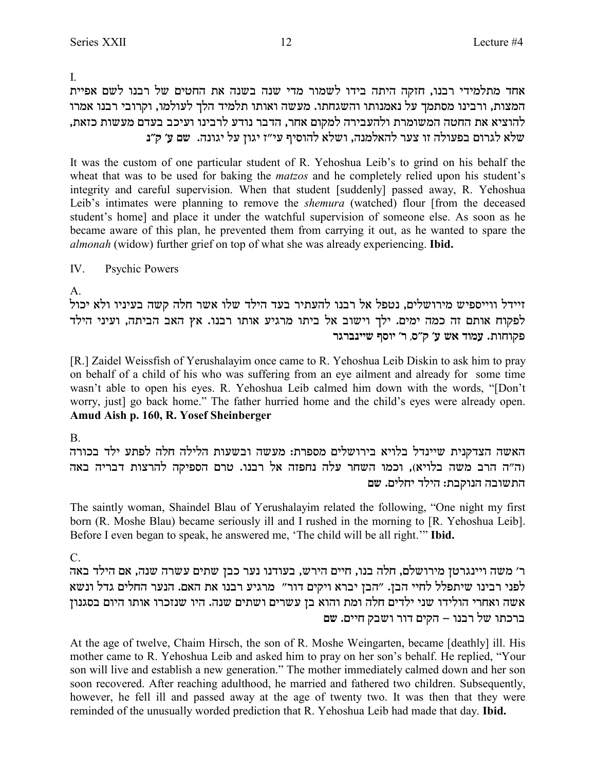$\mathbf{I}$ 

אחד מתלמידי רבנו, חזקה היתה בידו לשמור מדי שנה בשנה את החטים של רבנו לשם אפיית המצות, ורבינו מסתמך על נאמנותו והשגחתו. מעשה ואותו תלמיד הלך לעולמו, וקרובי רבנו אמרו להוציא את החטה המשומרת ולהעבירה למקום אחר, הדבר נודע לרבינו ועיכב בעדם מעשות כזאת, שלא לגרום בפעולה זו צער להאלמנה, ושלא להוסיף עי"ז יגון על יגונה. שם ע׳ ק"נ

It was the custom of one particular student of R. Yehoshua Leib's to grind on his behalf the wheat that was to be used for baking the *matzos* and he completely relied upon his student's integrity and careful supervision. When that student [suddenly] passed away, R. Yehoshua Leib's intimates were planning to remove the *shemura* (watched) flour [from the deceased student's home] and place it under the watchful supervision of someone else. As soon as he became aware of this plan, he prevented them from carrying it out, as he wanted to spare the *almonah* (widow) further grief on top of what she was already experiencing. **Ibid.** 

IV. **Psychic Powers** 

 $\mathsf{A}$ 

זיידל ווייספיש מירושלים, נטפל אל רבנו להעתיר בעד הילד שלו אשר חלה קשה בעיניו ולא יכול לפקוח אותם זה כמה ימים. ילך וישוב אל ביתו מרגיע אותו רבנו. אץ האב הביתה, ועיני הילד פקוחות. עמוד אש ע' ק"ס, ר' יוסף שיינברגר

[R.] Zaidel Weissfish of Yerushalayim once came to R. Yehoshua Leib Diskin to ask him to pray on behalf of a child of his who was suffering from an eye ailment and already for some time wasn't able to open his eyes. R. Yehoshua Leib calmed him down with the words, "[Don't worry, just] go back home." The father hurried home and the child's eyes were already open. Amud Aish p. 160, R. Yosef Sheinberger

<sub>B</sub>

האשה הצדקנית שיינדל בלויא בירושלים מספרת: מעשה ובשעות הלילה חלה לפתע ילד בכורה (ה"ה הרב משה בלויא), וכמו השחר עלה נחפזה אל רבנו. טרם הספיקה להרצות דבריה באה התשובה הנוקבת: הילד יחלים. שם

The saintly woman, Shaindel Blau of Yerushalayim related the following, "One night my first born (R. Moshe Blau) became seriously ill and I rushed in the morning to [R. Yehoshua Leib]. Before I even began to speak, he answered me, 'The child will be all right.'" Ibid.

 $C_{\cdot}$ 

ר׳ משה ויינגרטן מירושלם, חלה בנו, חיים הירש, בעודנו נער כבן שתים עשרה שנה, אם הילד באה לפני רבינו שיתפלל לחיי הבן. "הבן יברא ויקים דור" מרגיע רבנו את האם. הנער החלים גדל ונשא אשה ואחרי הולידו שני ילדים חלה ומת והוא בן עשרים ושתים שנה. היו שנזכרו אותו היום בסגנון ברכתו של רבנו – הקים דור ושבק חיים. שם

At the age of twelve, Chaim Hirsch, the son of R. Moshe Weingarten, became [deathly] ill. His mother came to R. Yehoshua Leib and asked him to pray on her son's behalf. He replied, "Your son will live and establish a new generation." The mother immediately calmed down and her son soon recovered. After reaching adulthood, he married and fathered two children. Subsequently, however, he fell ill and passed away at the age of twenty two. It was then that they were reminded of the unusually worded prediction that R. Yehoshua Leib had made that day. Ibid.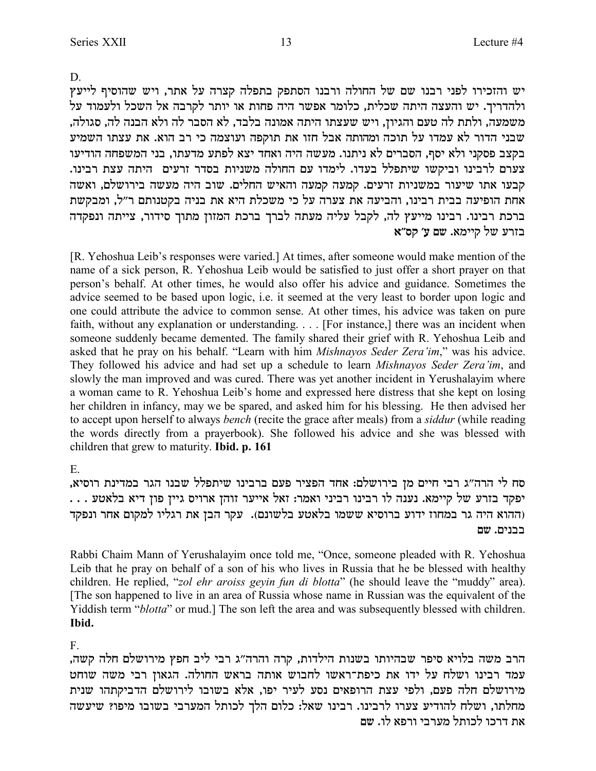D.

יש והזכירו לפני רבנו שם של החולה ורבנו הסתפק בתפלה קצרה על אתר, ויש שהוסיף לייעץ ולהדריך. יש והעצה היתה שכלית, כלומר אפשר היה פחות או יותר לקרבה אל השכל ולעמוד על משמעה, ולתת לה טעם והגיון, ויש שעצתו היתה אמונה בלבד, לא הסבר לה ולא הבנה לה, סגולה, שבני הדור לא עמדו על תוכה ומהותה אבל חזו את תוקפה ועוצמה כי רב הוא. את עצתו השמיע בקצב פסקני ולא יסף, הסברים לא ניתנו. מעשה היה ואחד יצא לפתע מדעתו, בני המשפחה הודיעו צערם לרבינו וביקשו שיתפלל בעדו. לימדו עם החולה משניות בסדר זרעים היתה עצת רבינו. קבעו אתו שיעור במשניות זרעים. קמעה קמעה והאיש החלים. שוב היה מעשה בירושלם, ואשה אחת הופיעה בבית רבינו, והביעה את צערה על כי משכלת היא את בניה בקטנותם ר"ל, ומבקשת ברכת רבינו. רבינו מייעץ לה, לקבל עליה מעתה לברך ברכת המזון מתוך סידור, צייתה ונפקדה בזרע של קיימא. שם ע' קס"א

[R. Yehoshua Leib's responses were varied.] At times, after someone would make mention of the name of a sick person, R. Yehoshua Leib would be satisfied to just offer a short prayer on that person's behalf. At other times, he would also offer his advice and guidance. Sometimes the advice seemed to be based upon logic, i.e. it seemed at the very least to border upon logic and one could attribute the advice to common sense. At other times, his advice was taken on pure faith, without any explanation or understanding. . . . [For instance,] there was an incident when someone suddenly became demented. The family shared their grief with R. Yehoshua Leib and asked that he pray on his behalf. "Learn with him *Mishnayos Seder Zera'im*," was his advice. They followed his advice and had set up a schedule to learn *Mishnayos Seder Zera'im*, and slowly the man improved and was cured. There was yet another incident in Yerushalayim where a woman came to R. Yehoshua Leib's home and expressed here distress that she kept on losing her children in infancy, may we be spared, and asked him for his blessing. He then advised her to accept upon herself to always *bench* (recite the grace after meals) from a *siddur* (while reading the words directly from a prayerbook). She followed his advice and she was blessed with children that grew to maturity. **Ibid. p. 161**

E.

סח לי הרה"ג רבי חיים מן בירושלם: אחד הפציר פעם ברבינו שיתפלל שבנו הגר במדינת רוסיא, . . . יפקד בזרע של קיימא. נענה לו רבינו רביני ואמר: זאל אייער זוהן ארויס גיין פון דיא בלאטע ההוא היה גר במחוז ידוע ברוסיא ששמו בלאטע בלשונם). עקר הבן את רגליו למקום אחר ונפקד **my** .mipaa

Rabbi Chaim Mann of Yerushalayim once told me, "Once, someone pleaded with R. Yehoshua Leib that he pray on behalf of a son of his who lives in Russia that he be blessed with healthy children. He replied, "*zol ehr aroiss geyin fun di blotta*" (he should leave the "muddy" area). [The son happened to live in an area of Russia whose name in Russian was the equivalent of the Yiddish term "*blotta*" or mud.] The son left the area and was subsequently blessed with children. **Ibid.**

F.

הרב משה בלויא סיפר שבהיותו בשנות הילדות, קרה והרה"ג רבי ליב חפץ מירושלם חלה קשה, עמד רבינו ושלח על ידו את כיפת־ראשו לחבוש אותה בראש החולה. הגאון רבי משה שוחט מירושלם חלה פעם, ולפי עצת הרופאים נסע לעיר יפו, אלא בשובו לירושלם הדביקתהו שנית מחלתו, ושלח להודיע צערו לרבינו. רבינו שאל: כלום הלך לכותל המערבי בשובו מיפו? שיעשה את דרכו לכותל מערבי ורפא לו. שם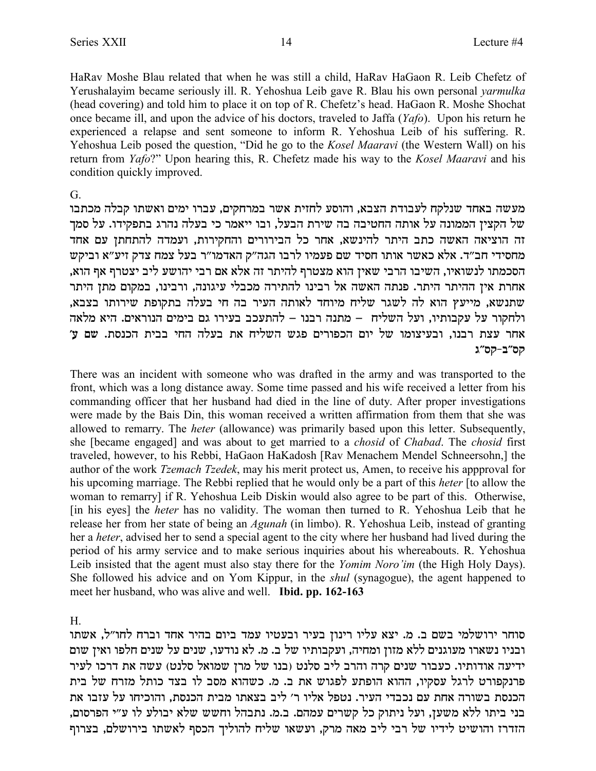HaRav Moshe Blau related that when he was still a child, HaRav HaGaon R. Leib Chefetz of Yerushalayim became seriously ill. R. Yehoshua Leib gave R. Blau his own personal yarmulka (head covering) and told him to place it on top of R. Chefetz's head. HaGaon R. Moshe Shochat once became ill, and upon the advice of his doctors, traveled to Jaffa (Yafo). Upon his return he experienced a relapse and sent someone to inform R. Yehoshua Leib of his suffering. R. Yehoshua Leib posed the question, "Did he go to the Kosel Maaravi (the Western Wall) on his return from Yafo?" Upon hearing this, R. Chefetz made his way to the Kosel Maaravi and his condition quickly improved.

### $\mathsf{G}$

מעשה באחד שנלקח לעבודת הצבא, והוסע לחזית אשר במרחקים, עברו ימים ואשתו קבלה מכתבו של הקצין הממונה על אותה החטיבה בה שירת הבעל, ובו ייאמר כי בעלה נהרג בתפקידו. על סמך זה הוציאה האשה כתב היתר להינשא, אחר כל הבירורים והחקירות, ועמדה להתחתן עם אחד מחסידי חב״ד. אלא כאשר אותו חסיד שם פעמיו לרבו הגה״ק האדמו״ר בעל צמח צדק זיע״א וביקש הסכמתו לנשואיו, השיבו הרבי שאין הוא מצטרף להיתר זה אלא אם רבי יהושע ליב יצטרף אף הוא, אחרת אין ההיתר היתר. פנתה האשה אל רבינו להתירה מכבלי עיגונה, ורבינו, במקום מתן היתר שתנשא, מייעץ הוא לה לשגר שליח מיוחד לאותה העיר בה חי בעלה בתקופת שירותו בצבא, ולחקור על עקבותיו, ועל השליח – מתנה רבנו – להתעכב בעירו גם בימים הנוראים. היא מלאה אחר עצת רבנו, ובעיצומו של יום הכפורים פגש השליח את בעלה החי בבית הכנסת. שם ע' קס״ב-קס״ג

There was an incident with someone who was drafted in the army and was transported to the front, which was a long distance away. Some time passed and his wife received a letter from his commanding officer that her husband had died in the line of duty. After proper investigations were made by the Bais Din, this woman received a written affirmation from them that she was allowed to remarry. The *heter* (allowance) was primarily based upon this letter. Subsequently, she [became engaged] and was about to get married to a *chosid* of *Chabad*. The *chosid* first traveled, however, to his Rebbi, HaGaon HaKadosh [Rav Menachem Mendel Schneersohn,] the author of the work *Tzemach Tzedek*, may his merit protect us, Amen, to receive his appproval for his upcoming marriage. The Rebbi replied that he would only be a part of this *heter* [to allow the woman to remarry] if R. Yehoshua Leib Diskin would also agree to be part of this. Otherwise, [in his eyes] the *heter* has no validity. The woman then turned to R. Yehoshua Leib that he release her from her state of being an *Agunah* (in limbo). R. Yehoshua Leib, instead of granting her a *heter*, advised her to send a special agent to the city where her husband had lived during the period of his army service and to make serious inquiries about his whereabouts. R. Yehoshua Leib insisted that the agent must also stay there for the *Yomim Noro'im* (the High Holy Days). She followed his advice and on Yom Kippur, in the *shul* (synagogue), the agent happened to meet her husband, who was alive and well. **Ibid. pp. 162-163** 

H.

סוחר ירושלמי בשם ב. מ. יצא עליו רינון בעיר ובעטיו עמד ביום בהיר אחד וברח לחו"ל, אשתו ובניו נשארו מעוגנים ללא מזון ומחיה, ועקבותיו של ב. מ. לא נודעו, שנים על שנים חלפו ואין שום ידיעה אודותיו. כעבור שנים קרה והרב ליב סלנט (בנו של מרן שמואל סלנט) עשה את דרכו לעיר פרנקפורט לרגל עסקיו, ההוא הופתע לפגוש את ב. מ. כשהוא מסב לו בצד כותל מזרח של בית הכנסת בשורה אחת עם נכבדי העיר. נטפל אליו ר׳ ליב בצאתו מבית הכנסת, והוכיחו על עזבו את בני ביתו ללא משעז, ועל ניתוק כל קשרים עמהם. ב.מ. נתבהל וחשש שלא יבולע לו ע״י הפרסום, הזדרז והושיט לידיו של רבי ליב מאה מרק, ועשאו שליח להוליך הכסף לאשתו בירושלם, בצרוף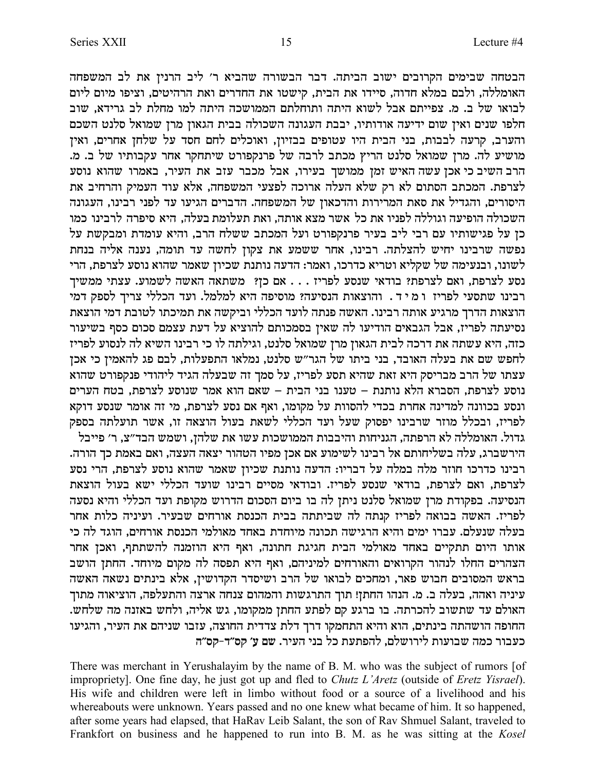הבטחה שבימים הקרובים ישוב הביתה. דבר הבשורה שהביא ר' ליב הרנין את לב המשפחה האומללה, ולבם במלא חדוה, סיידו את הבית, קישטו את החדרים ואת הרהיטים, וציפו מיום ליום לבואו של ב. מ. צפייתם אבל לשוא היתה ותוחלתם הממושכה היתה למו מחלת לב גרידא, שוב חלפו שנים ואין שום ידיעה אודותיו, יבבת העגונה השכולה בבית הגאון מרן שמואל סלנט השכם והערב, קרעה לבבות, בני הבית היו עטופים בבזיון, ואוכלים לחם חסד על שלחן אחרים, ואין .<br>מושיע לה. מרן שמואל סלנט הריץ מכתב לרבה של פרנקפורט שיתחקר אחר עקבותיו של ב. מ הרב השיב כי אכן עשה האיש זמן ממושך בעירו, אבל מכבר עזב את העיר, באמרו שהוא נוסע לצרפת. המכתב הסתום לא רק שלא העלה ארוכה לפצעי המשפחה, אלא עוד העמיק והרחיב את היסורים, והגדיל את סאת המרירות והדכאון של המשפחה. הדברים הגיעו עד לפני רבינו, העגונה .<br>השכולה הופיעה וגוללה לפניו את כל אשר מצא אותה, ואת תעלומת בעלה, היא סיפרה לרבינו כמו כן על פגישותיו עם רבי ליב בעיר פרנקפורט ועל המכתב ששלח הרב, והיא עומדת ומבקשת על .<br>נפשה שרבינו יחיש להצלתה. רבינו, אחר ששמע את צקון לחשה עד תומה, נענה אליה בנחת לשונו, ובנעימה של שקליא וטריא כדרכו, ואמר: הדעה נותנת שכיון שאמר שהוא נוסע לצרפת, הרי נסע לצרפת, ואם לצרפת? בודאי שנסע לפריז . . . אם כן? משתאה האשה לשמוע. עצתי ממשיך רבינו שתסעי לפריז ומיד. והוצאות הנסיעה? מוסיפה היא למלמל. ועד הכללי צריך לספק דמי הוצאות הדרך מרגיע אותה רבינו. האשה פנתה לועד הכללי וביקשה את תמיכתו לטובת דמי הוצאת נסיעתה לפריז, אבל הגבאים הודיעו לה שאין בסמכותם להוציא על דעת עצמם סכום כסף בשיעור כזה, היא עשתה את דרכה לבית הגאון מרן שמואל סלנט, וגילתה לו כי רבינו השיא לה לנסוע לפריז לחפש שם את בעלה האובד, בני ביתו של הגר"ש סלנט, נמלאו התפעלות, לבם פג להאמין כי אכן  $\overline{\phantom{a}}$ עצתו של הרב מבריסק היא זאת שהיא תסע לפריז, על סמך זה שבעלה הגיד ליהודי פנקפורט שהוא נוסע לצרפת, הסברא הלא נותנת – טענו בני הבית – שאם הוא אמר שנוסע לצרפת, בטח הערים ונסע בכוונה למדינה אחרת בכדי להסוות על מקומו, ואף אם נסע לצרפת, מי זה אומר שנסע דוקא לפריז, ובכלל מוזר שרבינו יפסוק שעל ועד הכללי לשאת בעול הוצאה זו, אשר תועלתה בספק .<br>גדול. האומללה לא הרפתה, הגניחות והיבבות הממושכות עשו את שלהן, ושמש הבד״צ, ר׳ פייבל .<br>הירשברג, עלה בשליחותם אל רבינו לשימוע אם אכן מפיו הטהור יצאה העצה, ואם באמת כך הורה רבינו כדרכו חוזר מלה במלה על דבריו: הדעה נותנת שכיון שאמר שהוא נוסע לצרפת, הרי נסע לצרפת, ואם לצרפת, בודאי שנסע לפריז. ובודאי מסיים רבינו שועד הכללי ישא בעול הוצאת הנסיעה. בפקודת מרן שמואל סלנט ניתן לה בו ביום הסכום הדרוש מקופת ועד הכללי והיא נסעה לפריז. האשה בבואה לפריז קנתה לה שביתתה בבית הכנסת אורחים שבעיר. ועיניה כלות אחר בעלה שנעלם. עברו ימים והיא הרגישה תכונה מיוחדת באחד מאולמי הכנסת אורחים, הוגד לה כי אותו היום תתקיים באחד מאולמי הבית חגיגת חתונה, ואף היא הוזמנה להשתתף, ואכן אחר הצהרים החלו לנהור הקרואים והאורחים למיניהם, ואף היא תפסה לה מקום מיוחד. החתן הושב בראש המסובים חבוש פאר, ומחכים לבואו של הרב ושיסדר הקדושין, אלא בינתים נשאה האשה עיניה ואהה, בעלה ב. מ. הנהו החתן! תוך התרגשות והמהום צנחה ארצה והתעלפה, הוציאוה מתוך .<br>האולם עד שתשוב להכרתה. בו ברגע קם לפתע החתן ממקומו, גש אליה, ולחש באזנה מה שלחש. החופה הושהתה בינתים, הוא והיא התחמקו דרך דלת צדדית החוצה, עזבו שניהם את העיר, והגיעו כעבור כמה שבועות לירושלם, להפתעת כל בני העיר. שם ע׳ קס״ד-קס״ה

There was merchant in Yerushalayim by the name of B. M. who was the subject of rumors [of impropriety]. One fine day, he just got up and fled to *Chutz L'Aretz* (outside of *Eretz Yisrael*). His wife and children were left in limbo without food or a source of a livelihood and his whereabouts were unknown. Years passed and no one knew what became of him. It so happened, after some years had elapsed, that HaRav Leib Salant, the son of Rav Shmuel Salant, traveled to Frankfort on business and he happened to run into B. M. as he was sitting at the *Kosel*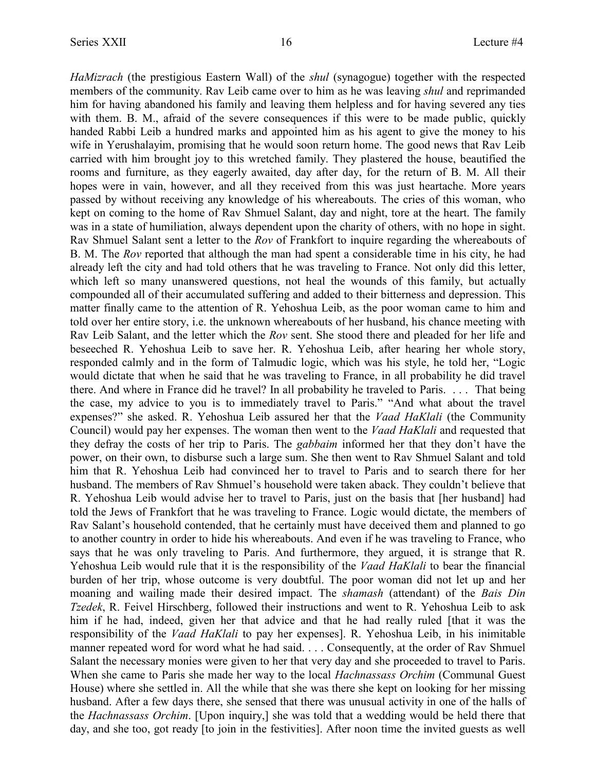*HaMizrach* (the prestigious Eastern Wall) of the *shul* (synagogue) together with the respected members of the community. Rav Leib came over to him as he was leaving *shul* and reprimanded him for having abandoned his family and leaving them helpless and for having severed any ties with them. B. M., afraid of the severe consequences if this were to be made public, quickly handed Rabbi Leib a hundred marks and appointed him as his agent to give the money to his wife in Yerushalayim, promising that he would soon return home. The good news that Rav Leib carried with him brought joy to this wretched family. They plastered the house, beautified the rooms and furniture, as they eagerly awaited, day after day, for the return of B. M. All their hopes were in vain, however, and all they received from this was just heartache. More years passed by without receiving any knowledge of his whereabouts. The cries of this woman, who kept on coming to the home of Rav Shmuel Salant, day and night, tore at the heart. The family was in a state of humiliation, always dependent upon the charity of others, with no hope in sight. Rav Shmuel Salant sent a letter to the *Rov* of Frankfort to inquire regarding the whereabouts of B. M. The *Rov* reported that although the man had spent a considerable time in his city, he had already left the city and had told others that he was traveling to France. Not only did this letter, which left so many unanswered questions, not heal the wounds of this family, but actually compounded all of their accumulated suffering and added to their bitterness and depression. This matter finally came to the attention of R. Yehoshua Leib, as the poor woman came to him and told over her entire story, i.e. the unknown whereabouts of her husband, his chance meeting with Rav Leib Salant, and the letter which the *Rov* sent. She stood there and pleaded for her life and beseeched R. Yehoshua Leib to save her. R. Yehoshua Leib, after hearing her whole story, responded calmly and in the form of Talmudic logic, which was his style, he told her, "Logic would dictate that when he said that he was traveling to France, in all probability he did travel there. And where in France did he travel? In all probability he traveled to Paris. . . . That being the case, my advice to you is to immediately travel to Paris." "And what about the travel expenses?" she asked. R. Yehoshua Leib assured her that the *Vaad HaKlali* (the Community Council) would pay her expenses. The woman then went to the *Vaad HaKlali* and requested that they defray the costs of her trip to Paris. The *gabbaim* informed her that they don't have the power, on their own, to disburse such a large sum. She then went to Rav Shmuel Salant and told him that R. Yehoshua Leib had convinced her to travel to Paris and to search there for her husband. The members of Rav Shmuel's household were taken aback. They couldn't believe that R. Yehoshua Leib would advise her to travel to Paris, just on the basis that [her husband] had told the Jews of Frankfort that he was traveling to France. Logic would dictate, the members of Rav Salant's household contended, that he certainly must have deceived them and planned to go to another country in order to hide his whereabouts. And even if he was traveling to France, who says that he was only traveling to Paris. And furthermore, they argued, it is strange that R. Yehoshua Leib would rule that it is the responsibility of the *Vaad HaKlali* to bear the financial burden of her trip, whose outcome is very doubtful. The poor woman did not let up and her moaning and wailing made their desired impact. The *shamash* (attendant) of the *Bais Din Tzedek*, R. Feivel Hirschberg, followed their instructions and went to R. Yehoshua Leib to ask him if he had, indeed, given her that advice and that he had really ruled [that it was the responsibility of the *Vaad HaKlali* to pay her expenses]. R. Yehoshua Leib, in his inimitable manner repeated word for word what he had said. . . . Consequently, at the order of Rav Shmuel Salant the necessary monies were given to her that very day and she proceeded to travel to Paris. When she came to Paris she made her way to the local *Hachnassass Orchim* (Communal Guest House) where she settled in. All the while that she was there she kept on looking for her missing husband. After a few days there, she sensed that there was unusual activity in one of the halls of the *Hachnassass Orchim*. [Upon inquiry,] she was told that a wedding would be held there that day, and she too, got ready [to join in the festivities]. After noon time the invited guests as well